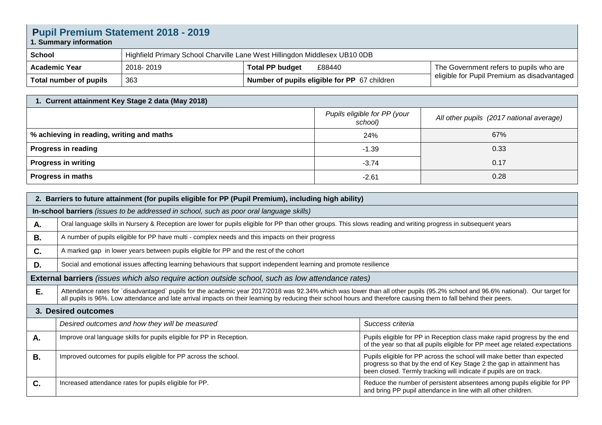| <b>Pupil Premium Statement 2018 - 2019</b><br>1. Summary information |                                                                            |                                              |                                             |  |
|----------------------------------------------------------------------|----------------------------------------------------------------------------|----------------------------------------------|---------------------------------------------|--|
| School                                                               | Highfield Primary School Charville Lane West Hillingdon Middlesex UB10 0DB |                                              |                                             |  |
| <b>Academic Year</b>                                                 | 2018-2019                                                                  | <b>Total PP budget</b><br>£88440             | The Government refers to pupils who are     |  |
| Total number of pupils                                               | 363                                                                        | Number of pupils eligible for PP 67 children | eligible for Pupil Premium as disadvantaged |  |

| 1. Current attainment Key Stage 2 data (May 2018) |                                         |                                          |  |  |
|---------------------------------------------------|-----------------------------------------|------------------------------------------|--|--|
|                                                   | Pupils eligible for PP (your<br>school) | All other pupils (2017 national average) |  |  |
| % achieving in reading, writing and maths         | 24%                                     | 67%                                      |  |  |
| Progress in reading                               | $-1.39$                                 | 0.33                                     |  |  |
| <b>Progress in writing</b>                        | $-3.74$                                 | 0.17                                     |  |  |
| <b>Progress in maths</b>                          | $-2.61$                                 | 0.28                                     |  |  |

| 2. Barriers to future attainment (for pupils eligible for PP (Pupil Premium), including high ability)    |                                                                                                                                                                                                                                                                                                                                                      |                                                                                                                                                                                                                       |  |  |
|----------------------------------------------------------------------------------------------------------|------------------------------------------------------------------------------------------------------------------------------------------------------------------------------------------------------------------------------------------------------------------------------------------------------------------------------------------------------|-----------------------------------------------------------------------------------------------------------------------------------------------------------------------------------------------------------------------|--|--|
| In-school barriers (issues to be addressed in school, such as poor oral language skills)                 |                                                                                                                                                                                                                                                                                                                                                      |                                                                                                                                                                                                                       |  |  |
| А.                                                                                                       | Oral language skills in Nursery & Reception are lower for pupils eligible for PP than other groups. This slows reading and writing progress in subsequent years                                                                                                                                                                                      |                                                                                                                                                                                                                       |  |  |
| В.                                                                                                       | A number of pupils eligible for PP have multi - complex needs and this impacts on their progress                                                                                                                                                                                                                                                     |                                                                                                                                                                                                                       |  |  |
| C.                                                                                                       | A marked gap in lower years between pupils eligible for PP and the rest of the cohort                                                                                                                                                                                                                                                                |                                                                                                                                                                                                                       |  |  |
| D.                                                                                                       | Social and emotional issues affecting learning behaviours that support independent learning and promote resilience                                                                                                                                                                                                                                   |                                                                                                                                                                                                                       |  |  |
| <b>External barriers</b> (issues which also require action outside school, such as low attendance rates) |                                                                                                                                                                                                                                                                                                                                                      |                                                                                                                                                                                                                       |  |  |
| Ε.                                                                                                       | Attendance rates for `disadvantaged` pupils for the academic year 2017/2018 was 92.34% which was lower than all other pupils (95.2% school and 96.6% national). Our target for<br>all pupils is 96%. Low attendance and late arrival impacts on their learning by reducing their school hours and therefore causing them to fall behind their peers. |                                                                                                                                                                                                                       |  |  |
| 3. Desired outcomes                                                                                      |                                                                                                                                                                                                                                                                                                                                                      |                                                                                                                                                                                                                       |  |  |
|                                                                                                          | Desired outcomes and how they will be measured                                                                                                                                                                                                                                                                                                       | Success criteria                                                                                                                                                                                                      |  |  |
| Α.                                                                                                       | Improve oral language skills for pupils eligible for PP in Reception.                                                                                                                                                                                                                                                                                | Pupils eligible for PP in Reception class make rapid progress by the end<br>of the year so that all pupils eligible for PP meet age related expectations                                                              |  |  |
| <b>B.</b>                                                                                                | Improved outcomes for pupils eligible for PP across the school.                                                                                                                                                                                                                                                                                      | Pupils eligible for PP across the school will make better than expected<br>progress so that by the end of Key Stage 2 the gap in attainment has<br>been closed. Termly tracking will indicate if pupils are on track. |  |  |
| C.                                                                                                       | Increased attendance rates for pupils eligible for PP.                                                                                                                                                                                                                                                                                               | Reduce the number of persistent absentees among pupils eligible for PP<br>and bring PP pupil attendance in line with all other children.                                                                              |  |  |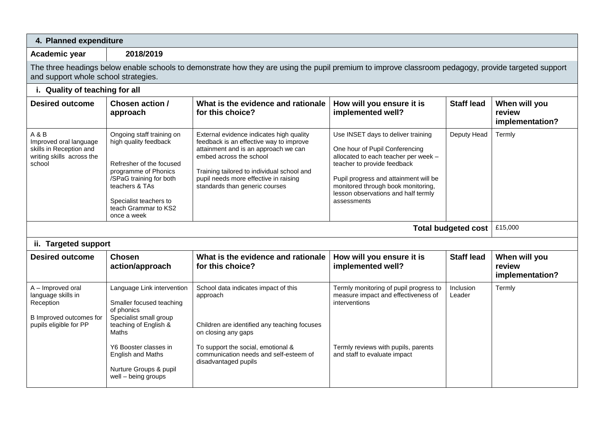| 4. Planned expenditure                                                                                                                                                                      |                                                                                                                                                                                                                                 |                                                                                                                                                                                                                                                                                 |                                                                                                                                                                                                                                                                                  |                            |                                            |
|---------------------------------------------------------------------------------------------------------------------------------------------------------------------------------------------|---------------------------------------------------------------------------------------------------------------------------------------------------------------------------------------------------------------------------------|---------------------------------------------------------------------------------------------------------------------------------------------------------------------------------------------------------------------------------------------------------------------------------|----------------------------------------------------------------------------------------------------------------------------------------------------------------------------------------------------------------------------------------------------------------------------------|----------------------------|--------------------------------------------|
| Academic year                                                                                                                                                                               | 2018/2019                                                                                                                                                                                                                       |                                                                                                                                                                                                                                                                                 |                                                                                                                                                                                                                                                                                  |                            |                                            |
| The three headings below enable schools to demonstrate how they are using the pupil premium to improve classroom pedagogy, provide targeted support<br>and support whole school strategies. |                                                                                                                                                                                                                                 |                                                                                                                                                                                                                                                                                 |                                                                                                                                                                                                                                                                                  |                            |                                            |
| i. Quality of teaching for all                                                                                                                                                              |                                                                                                                                                                                                                                 |                                                                                                                                                                                                                                                                                 |                                                                                                                                                                                                                                                                                  |                            |                                            |
| <b>Desired outcome</b>                                                                                                                                                                      | Chosen action /<br>approach                                                                                                                                                                                                     | What is the evidence and rationale<br>for this choice?                                                                                                                                                                                                                          | How will you ensure it is<br>implemented well?                                                                                                                                                                                                                                   | <b>Staff lead</b>          | When will you<br>review<br>implementation? |
| A & B<br>Improved oral language<br>skills in Reception and<br>writing skills across the<br>school                                                                                           | Ongoing staff training on<br>high quality feedback<br>Refresher of the focused<br>programme of Phonics<br>/SPaG training for both<br>teachers & TAs<br>Specialist teachers to<br>teach Grammar to KS2<br>once a week            | External evidence indicates high quality<br>feedback is an effective way to improve<br>attainment and is an approach we can<br>embed across the school<br>Training tailored to individual school and<br>pupil needs more effective in raising<br>standards than generic courses | Use INSET days to deliver training<br>One hour of Pupil Conferencing<br>allocated to each teacher per week -<br>teacher to provide feedback<br>Pupil progress and attainment will be<br>monitored through book monitoring,<br>lesson observations and half termly<br>assessments | Deputy Head                | Termly                                     |
|                                                                                                                                                                                             | <b>Total budgeted cost</b>                                                                                                                                                                                                      | £15,000                                                                                                                                                                                                                                                                         |                                                                                                                                                                                                                                                                                  |                            |                                            |
| ii. Targeted support                                                                                                                                                                        |                                                                                                                                                                                                                                 |                                                                                                                                                                                                                                                                                 |                                                                                                                                                                                                                                                                                  |                            |                                            |
| <b>Desired outcome</b>                                                                                                                                                                      | <b>Chosen</b><br>action/approach                                                                                                                                                                                                | What is the evidence and rationale<br>for this choice?                                                                                                                                                                                                                          | How will you ensure it is<br>implemented well?                                                                                                                                                                                                                                   | <b>Staff lead</b>          | When will you<br>review<br>implementation? |
| A - Improved oral<br>language skills in<br>Reception<br>B Improved outcomes for<br>pupils eligible for PP                                                                                   | Language Link intervention<br>Smaller focused teaching<br>of phonics<br>Specialist small group<br>teaching of English &<br>Maths<br>Y6 Booster classes in<br>English and Maths<br>Nurture Groups & pupil<br>well - being groups | School data indicates impact of this<br>approach<br>Children are identified any teaching focuses<br>on closing any gaps<br>To support the social, emotional &<br>communication needs and self-esteem of<br>disadvantaged pupils                                                 | Termly monitoring of pupil progress to<br>measure impact and effectiveness of<br>interventions<br>Termly reviews with pupils, parents<br>and staff to evaluate impact                                                                                                            | <b>Inclusion</b><br>Leader | Termly                                     |